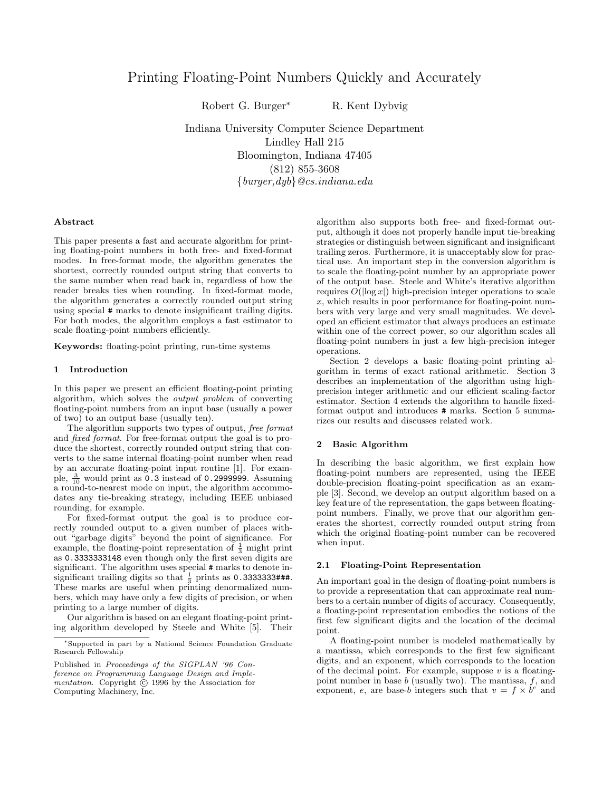# Printing Floating-Point Numbers Quickly and Accurately

Robert G. Burger<sup>\*</sup> R. Kent Dybvig

Indiana University Computer Science Department Lindley Hall 215 Bloomington, Indiana 47405 (812) 855-3608 {burger,dyb}@cs.indiana.edu

#### Abstract

This paper presents a fast and accurate algorithm for printing floating-point numbers in both free- and fixed-format modes. In free-format mode, the algorithm generates the shortest, correctly rounded output string that converts to the same number when read back in, regardless of how the reader breaks ties when rounding. In fixed-format mode, the algorithm generates a correctly rounded output string using special # marks to denote insignificant trailing digits. For both modes, the algorithm employs a fast estimator to scale floating-point numbers efficiently.

Keywords: floating-point printing, run-time systems

# 1 Introduction

In this paper we present an efficient floating-point printing algorithm, which solves the output problem of converting floating-point numbers from an input base (usually a power of two) to an output base (usually ten).

The algorithm supports two types of output, free format and fixed format. For free-format output the goal is to produce the shortest, correctly rounded output string that converts to the same internal floating-point number when read by an accurate floating-point input routine [1]. For example,  $\frac{3}{10}$  would print as 0.3 instead of 0.2999999. Assuming a round-to-nearest mode on input, the algorithm accommodates any tie-breaking strategy, including IEEE unbiased rounding, for example.

For fixed-format output the goal is to produce correctly rounded output to a given number of places without "garbage digits" beyond the point of significance. For example, the floating-point representation of  $\frac{1}{3}$  might print as 0.3333333148 even though only the first seven digits are significant. The algorithm uses special # marks to denote insignificant trailing digits so that  $\frac{1}{3}$  prints as 0.33333333###. These marks are useful when printing denormalized numbers, which may have only a few digits of precision, or when printing to a large number of digits.

Our algorithm is based on an elegant floating-point printing algorithm developed by Steele and White [5]. Their algorithm also supports both free- and fixed-format output, although it does not properly handle input tie-breaking strategies or distinguish between significant and insignificant trailing zeros. Furthermore, it is unacceptably slow for practical use. An important step in the conversion algorithm is to scale the floating-point number by an appropriate power of the output base. Steele and White's iterative algorithm requires  $O(|\log x|)$  high-precision integer operations to scale  $x$ , which results in poor performance for floating-point numbers with very large and very small magnitudes. We developed an efficient estimator that always produces an estimate within one of the correct power, so our algorithm scales all floating-point numbers in just a few high-precision integer operations.

Section 2 develops a basic floating-point printing algorithm in terms of exact rational arithmetic. Section 3 describes an implementation of the algorithm using highprecision integer arithmetic and our efficient scaling-factor estimator. Section 4 extends the algorithm to handle fixedformat output and introduces # marks. Section 5 summarizes our results and discusses related work.

# 2 Basic Algorithm

In describing the basic algorithm, we first explain how floating-point numbers are represented, using the IEEE double-precision floating-point specification as an example [3]. Second, we develop an output algorithm based on a key feature of the representation, the gaps between floatingpoint numbers. Finally, we prove that our algorithm generates the shortest, correctly rounded output string from which the original floating-point number can be recovered when input.

#### 2.1 Floating-Point Representation

An important goal in the design of floating-point numbers is to provide a representation that can approximate real numbers to a certain number of digits of accuracy. Consequently, a floating-point representation embodies the notions of the first few significant digits and the location of the decimal point.

A floating-point number is modeled mathematically by a mantissa, which corresponds to the first few significant digits, and an exponent, which corresponds to the location of the decimal point. For example, suppose  $v$  is a floatingpoint number in base  $b$  (usually two). The mantissa,  $f$ , and exponent, e, are base-b integers such that  $v = f \times b^e$  and

<sup>∗</sup>Supported in part by a National Science Foundation Graduate Research Fellowship

Published in Proceedings of the SIGPLAN '96 Conference on Programming Language Design and Implementation. Copyright  $\odot$  1996 by the Association for Computing Machinery, Inc.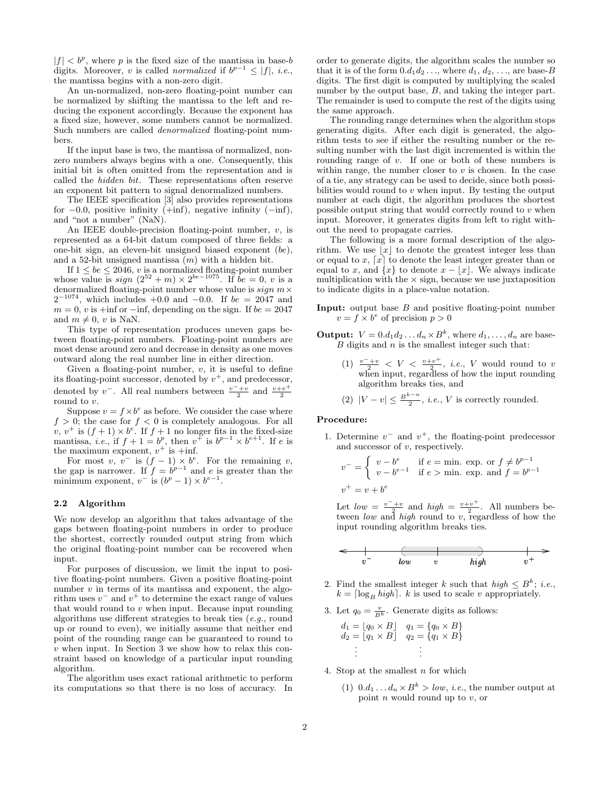$|f| < b^p$ , where p is the fixed size of the mantissa in base-b digits. Moreover, v is called *normalized* if  $b^{p-1} \leq |f|$ , *i.e.*, the mantissa begins with a non-zero digit.

An un-normalized, non-zero floating-point number can be normalized by shifting the mantissa to the left and reducing the exponent accordingly. Because the exponent has a fixed size, however, some numbers cannot be normalized. Such numbers are called denormalized floating-point numbers.

If the input base is two, the mantissa of normalized, nonzero numbers always begins with a one. Consequently, this initial bit is often omitted from the representation and is called the hidden bit. These representations often reserve an exponent bit pattern to signal denormalized numbers.

The IEEE specification [3] also provides representations for  $-0.0$ , positive infinity (+inf), negative infinity ( $-i$ nf), and "not a number" (NaN).

An IEEE double-precision floating-point number,  $v$ , is represented as a 64-bit datum composed of three fields: a one-bit sign, an eleven-bit unsigned biased exponent (be), and a 52-bit unsigned mantissa  $(m)$  with a hidden bit.

If  $1 \leq be \leq 2046$ , v is a normalized floating-point number whose value is  $sign (2^{52} + m) \times 2^{be-1075}$ . If  $be = 0, v$  is a denormalized floating-point number whose value is  $sign\ m \times$  $2^{-1074}$ , which includes +0.0 and -0.0. If  $be = 2047$  and  $m = 0$ , v is +inf or −inf, depending on the sign. If  $be = 2047$ and  $m \neq 0$ , v is NaN.

This type of representation produces uneven gaps between floating-point numbers. Floating-point numbers are most dense around zero and decrease in density as one moves outward along the real number line in either direction.

Given a floating-point number,  $v$ , it is useful to define its floating-point successor, denoted by  $v^+$ , and predecessor, denoted by  $v^-$ . All real numbers between  $\frac{v^-+v}{2}$  and  $\frac{v+v^+}{2}$ round to v.

Suppose  $v = f \times b^e$  as before. We consider the case where  $f > 0$ ; the case for  $f < 0$  is completely analogous. For all v,  $v^+$  is  $(f+1) \times b^e$ . If  $f+1$  no longer fits in the fixed-size mantissa, *i.e.*, if  $f + 1 = b^p$ , then  $v^{\pm}$  is  $b^{p-1} \times b^{e+1}$ . If e is the maximum exponent,  $v^+$  is  $+$ inf.

For most v,  $v^{-}$  is  $(f-1) \times b^{e}$ . For the remaining v, the gap is narrower. If  $f = b^{p-1}$  and e is greater than the minimum exponent,  $v^-$  is  $(b^p - 1) \times b^{e-1}$ .

# 2.2 Algorithm

We now develop an algorithm that takes advantage of the gaps between floating-point numbers in order to produce the shortest, correctly rounded output string from which the original floating-point number can be recovered when input.

For purposes of discussion, we limit the input to positive floating-point numbers. Given a positive floating-point number  $v$  in terms of its mantissa and exponent, the algorithm uses  $v^{-}$  and  $v^{+}$  to determine the exact range of values that would round to  $v$  when input. Because input rounding algorithms use different strategies to break ties (e.g., round up or round to even), we initially assume that neither end point of the rounding range can be guaranteed to round to  $v$  when input. In Section 3 we show how to relax this constraint based on knowledge of a particular input rounding algorithm.

The algorithm uses exact rational arithmetic to perform its computations so that there is no loss of accuracy. In order to generate digits, the algorithm scales the number so that it is of the form  $0.d_1d_2\ldots$ , where  $d_1, d_2, \ldots$ , are base-B digits. The first digit is computed by multiplying the scaled number by the output base, B, and taking the integer part. The remainder is used to compute the rest of the digits using the same approach.

The rounding range determines when the algorithm stops generating digits. After each digit is generated, the algorithm tests to see if either the resulting number or the resulting number with the last digit incremented is within the rounding range of v. If one or both of these numbers is within range, the number closer to  $v$  is chosen. In the case of a tie, any strategy can be used to decide, since both possibilities would round to  $v$  when input. By testing the output number at each digit, the algorithm produces the shortest possible output string that would correctly round to  $v$  when input. Moreover, it generates digits from left to right without the need to propagate carries.

The following is a more formal description of the algorithm. We use  $|x|$  to denote the greatest integer less than or equal to x,  $[x]$  to denote the least integer greater than or equal to x, and  $\{x\}$  to denote  $x - |x|$ . We always indicate multiplication with the  $\times$  sign, because we use juxtaposition to indicate digits in a place-value notation.

- Input: output base B and positive floating-point number  $v = f \times b^e$  of precision  $p > 0$
- **Output:**  $V = 0.d_1d_2...d_n \times B^k$ , where  $d_1,...,d_n$  are base- $B$  digits and  $n$  is the smallest integer such that:
	- (1)  $\frac{v^{-}+v}{2} < V < \frac{v+v^{+}}{2}$ , *i.e.*, *V* would round to *v* when input, regardless of how the input rounding algorithm breaks ties, and

(2) 
$$
|V - v| \le \frac{B^{k-n}}{2}
$$
, *i.e.*, V is correctly rounded.

#### Procedure:

1. Determine  $v^-$  and  $v^+$ , the floating-point predecessor and successor of  $v$ , respectively.

$$
v^- = \begin{cases} v - b^e & \text{if } e = \text{min. } \exp. \text{ or } f \neq b^{p-1} \\ v - b^{e-1} & \text{if } e > \text{min. } \exp. \text{ and } f = b^{p-1} \end{cases}
$$
  

$$
v^+ = v + b^e
$$

Let  $low = \frac{v^-+v}{2}$  and  $high = \frac{v+v^+}{2}$ . All numbers between low and high round to v, regardless of how the input rounding algorithm breaks ties.

$$
\leftarrow \qquad \qquad \overrightarrow{v} - \qquad \overrightarrow{low} \qquad \overrightarrow{v} \qquad \qquad \overrightarrow{high} \qquad \qquad \overrightarrow{v}^+ \qquad \qquad \overrightarrow{v}
$$

- 2. Find the smallest integer k such that  $high \leq B^k$ ; *i.e.*,  $k = \lceil \log_B high \rceil$ . k is used to scale v appropriately.
- 3. Let  $q_0 = \frac{v}{B^k}$ . Generate digits as follows:

$$
d_1 = \lfloor q_0 \times B \rfloor \quad q_1 = \{ q_0 \times B \}
$$
  
\n
$$
d_2 = \lfloor q_1 \times B \rfloor \quad q_2 = \{ q_1 \times B \}
$$
  
\n
$$
\vdots \qquad \vdots
$$

4. Stop at the smallest  $n$  for which

(1)  $0.d_1...d_n \times B^k > low$ , *i.e.*, the number output at point  $n$  would round up to  $v$ , or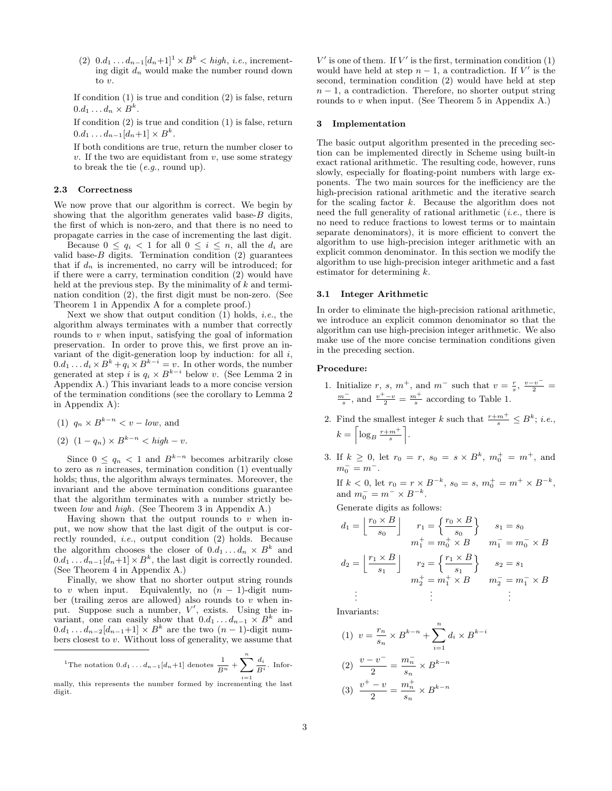(2)  $0.d_1...d_{n-1}[d_n+1]^1 \times B^k \lt high, i.e., increment$ ing digit  $d_n$  would make the number round down to v.

If condition  $(1)$  is true and condition  $(2)$  is false, return  $0.d_1 \ldots d_n \times B^k$ .

If condition (2) is true and condition (1) is false, return  $0.d_1...d_{n-1}[d_n+1] \times B^k$ .

If both conditions are true, return the number closer to  $v$ . If the two are equidistant from  $v$ , use some strategy to break the tie  $(e.g.,$  round up).

#### 2.3 Correctness

We now prove that our algorithm is correct. We begin by showing that the algorithm generates valid base- $B$  digits, the first of which is non-zero, and that there is no need to propagate carries in the case of incrementing the last digit.

Because  $0 \le q_i < 1$  for all  $0 \le i \le n$ , all the  $d_i$  are valid base-B digits. Termination condition  $(2)$  guarantees that if  $d_n$  is incremented, no carry will be introduced; for if there were a carry, termination condition (2) would have held at the previous step. By the minimality of  $k$  and termination condition (2), the first digit must be non-zero. (See Theorem 1 in Appendix A for a complete proof.)

Next we show that output condition  $(1)$  holds, *i.e.*, the algorithm always terminates with a number that correctly rounds to  $v$  when input, satisfying the goal of information preservation. In order to prove this, we first prove an invariant of the digit-generation loop by induction: for all  $i$ ,  $0.d_1 \ldots d_i \times B^k + q_i \times B^{k-i} = v.$  In other words, the number generated at step i is  $q_i \times B^{k-i}$  below v. (See Lemma 2 in Appendix A.) This invariant leads to a more concise version of the termination conditions (see the corollary to Lemma 2 in Appendix A):

(1)  $q_n \times B^{k-n} < v - low$ , and

$$
(2) \ \ (1 - q_n) \times B^{k-n} < high - v.
$$

Since  $0 \le q_n < 1$  and  $B^{k-n}$  becomes arbitrarily close to zero as n increases, termination condition  $(1)$  eventually holds; thus, the algorithm always terminates. Moreover, the invariant and the above termination conditions guarantee that the algorithm terminates with a number strictly between low and high. (See Theorem 3 in Appendix A.)

Having shown that the output rounds to  $v$  when input, we now show that the last digit of the output is correctly rounded, i.e., output condition (2) holds. Because the algorithm chooses the closer of  $0.d_1...d_n \times B^k$  and  $0.d_1 \ldots d_{n-1}[d_n+1] \times B^k$ , the last digit is correctly rounded. (See Theorem 4 in Appendix A.)

Finally, we show that no shorter output string rounds to v when input. Equivalently, no  $(n-1)$ -digit number (trailing zeros are allowed) also rounds to  $v$  when input. Suppose such a number,  $V'$ , exists. Using the invariant, one can easily show that  $0.d_1 \ldots d_{n-1} \times B^k$  and  $0.d_1 \ldots d_{n-2}[d_{n-1}+1] \times B^k$  are the two  $(n-1)$ -digit numbers closest to  $v$ . Without loss of generality, we assume that

<sup>1</sup>The notation 
$$
0.d_1 \ldots d_{n-1}[d_n+1]
$$
 denotes  $\frac{1}{B^n} + \sum_{i=1}^n \frac{d_i}{B^i}$ . Inform-

 $V'$  is one of them. If  $V'$  is the first, termination condition (1) would have held at step  $n-1$ , a contradiction. If V' is the second, termination condition (2) would have held at step  $n-1$ , a contradiction. Therefore, no shorter output string rounds to  $v$  when input. (See Theorem 5 in Appendix A.)

#### 3 Implementation

The basic output algorithm presented in the preceding section can be implemented directly in Scheme using built-in exact rational arithmetic. The resulting code, however, runs slowly, especially for floating-point numbers with large exponents. The two main sources for the inefficiency are the high-precision rational arithmetic and the iterative search for the scaling factor  $k$ . Because the algorithm does not need the full generality of rational arithmetic  $(i.e.,$  there is no need to reduce fractions to lowest terms or to maintain separate denominators), it is more efficient to convert the algorithm to use high-precision integer arithmetic with an explicit common denominator. In this section we modify the algorithm to use high-precision integer arithmetic and a fast estimator for determining k.

# 3.1 Integer Arithmetic

In order to eliminate the high-precision rational arithmetic, we introduce an explicit common denominator so that the algorithm can use high-precision integer arithmetic. We also make use of the more concise termination conditions given in the preceding section.

# Procedure:

- 1. Initialize r, s,  $m^+$ , and  $m^-$  such that  $v = \frac{r}{s}$ ,  $\frac{v-v^-}{2} = \frac{m^-}{s}$ , and  $\frac{v^+-v^-}{2} = \frac{m^+}{s}$  according to Table 1.
- 2. Find the smallest integer k such that  $\frac{r+m^+}{s} \leq B^k$ ; *i.e.*,  $k = \left\lfloor \log_B \frac{r+m^+}{s} \right\rfloor$ .
- 3. If  $k \geq 0$ , let  $r_0 = r$ ,  $s_0 = s \times B^k$ ,  $m_0^+ = m^+$ , and  $m_0^- = m^-$ .

If  $k < 0$ , let  $r_0 = r \times B^{-k}$ ,  $s_0 = s$ ,  $m_0^+ = m^+ \times B^{-k}$ , and  $m_0^- = m^- \times B^{-k}$ .

Generate digits as follows:

$$
d_1 = \left\lfloor \frac{r_0 \times B}{s_0} \right\rfloor \quad r_1 = \left\{ \frac{r_0 \times B}{s_0} \right\} \quad s_1 = s_0
$$
  
\n
$$
m_1^+ = m_0^+ \times B \quad m_1^- = m_0^- \times B
$$
  
\n
$$
d_2 = \left\lfloor \frac{r_1 \times B}{s_1} \right\rfloor \quad r_2 = \left\{ \frac{r_1 \times B}{s_1} \right\} \quad s_2 = s_1
$$
  
\n
$$
m_2^+ = m_1^+ \times B \quad m_2^- = m_1^- \times B
$$
  
\n
$$
\vdots \qquad \vdots \qquad \vdots
$$

Invariants:

$$
(1) \quad v = \frac{r_n}{s_n} \times B^{k-n} + \sum_{i=1}^n d_i \times B^{k-i}
$$
\n
$$
(2) \quad \frac{v - v^-}{2} = \frac{m_n^-}{s_n} \times B^{k-n}
$$
\n
$$
(3) \quad \frac{v^+ - v}{2} = \frac{m_n^+}{s_n} \times B^{k-n}
$$

mally, this represents the number formed by incrementing the last digit.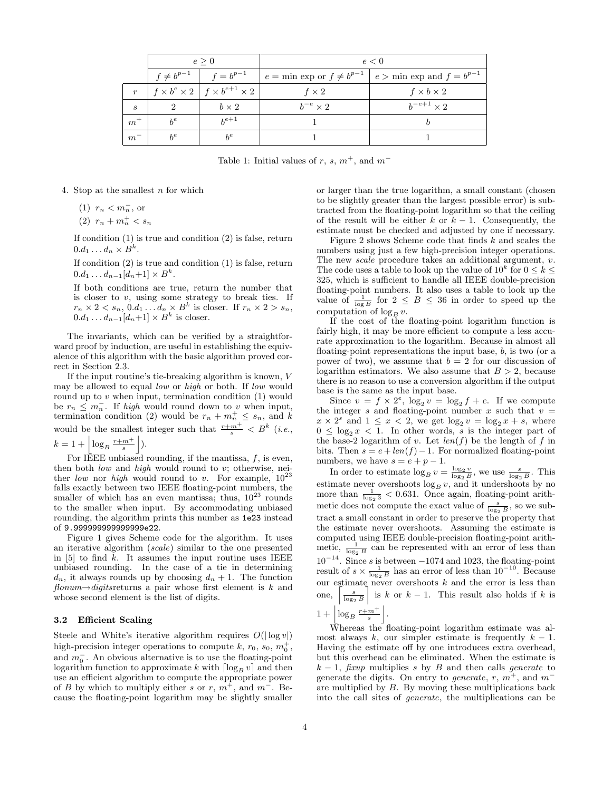|                             | e > 0 |                                                                  | e < 0             |                                                                                               |  |
|-----------------------------|-------|------------------------------------------------------------------|-------------------|-----------------------------------------------------------------------------------------------|--|
|                             |       | $f \neq b^{p-1}$   $f = b^{p-1}$                                 |                   | $\vert e = \min \exp \text{ or } f \neq b^{p-1} \vert e > \min \exp \text{ and } f = b^{p-1}$ |  |
| $\mathcal{r}$               |       | $\left  f \times b^e \times 2 \right  f \times b^{e+1} \times 2$ | $f \times 2$      | $f \times b \times 2$                                                                         |  |
| $\mathcal{S}_{\mathcal{S}}$ | ച     | $b \times 2$                                                     | $b^{-e} \times 2$ | $b^{-e+1} \times 2$                                                                           |  |
| $\cdot$ $m^+$               | $h^e$ | $h^{e+1}$                                                        |                   |                                                                                               |  |
| $m^-$                       | $h^e$ | $h^e$                                                            |                   |                                                                                               |  |

Table 1: Initial values of r, s,  $m^+$ , and  $m^-$ 

4. Stop at the smallest n for which

(1)  $r_n < m_n$ , or

(2)  $r_n + m_n^+ < s_n$ 

If condition (1) is true and condition (2) is false, return  $0.d_1 \ldots d_n \times B^k$ .

If condition (2) is true and condition (1) is false, return  $0.d_1...d_{n-1}[d_n+1] \times B^k$ .

If both conditions are true, return the number that is closer to  $v$ , using some strategy to break ties. If  $r_n \times 2 < s_n, 0.d_1 \dots d_n \times B^k$  is closer. If  $r_n \times 2 > s_n$ ,  $0.d_1 \ldots d_{n-1}[d_n+1] \times B^k$  is closer.

The invariants, which can be verified by a straightforward proof by induction, are useful in establishing the equivalence of this algorithm with the basic algorithm proved correct in Section 2.3.

If the input routine's tie-breaking algorithm is known, V may be allowed to equal *low* or *high* or both. If *low* would round up to  $v$  when input, termination condition  $(1)$  would be  $r_n \n\leq m_n^-$ . If high would round down to v when input, termination condition (2) would be  $r_n + m_n^+ \leq s_n$ , and k would be the smallest integer such that  $\frac{r+m^+}{s} < B^k$  (*i.e.*,  $k = 1 + \left| \log_B \frac{r+m^+}{s} \right|$ ). s۱<br>د

).

For IEEE unbiased rounding, if the mantissa,  $f$ , is even, then both *low* and *high* would round to  $v$ ; otherwise, neither low nor high would round to v. For example,  $10^{23}$ falls exactly between two IEEE floating-point numbers, the smaller of which has an even mantissa; thus,  $10^{23}$  rounds to the smaller when input. By accommodating unbiased rounding, the algorithm prints this number as 1e23 instead of 9.999999999999999e22.

Figure 1 gives Scheme code for the algorithm. It uses an iterative algorithm (scale) similar to the one presented in  $[5]$  to find k. It assumes the input routine uses IEEE unbiased rounding. In the case of a tie in determining  $d_n$ , it always rounds up by choosing  $d_n + 1$ . The function  $flonum \rightarrow digit$ s returns a pair whose first element is k and whose second element is the list of digits.

# 3.2 Efficient Scaling

Steele and White's iterative algorithm requires  $O(|\log v|)$ high-precision integer operations to compute  $k, r_0, s_0, m_0^+$ , and  $m_0^-$ . An obvious alternative is to use the floating-point logarithm function to approximate k with  $\lceil \log_B v \rceil$  and then use an efficient algorithm to compute the appropriate power of B by which to multiply either s or r,  $m^+$ , and  $m^-$ . Because the floating-point logarithm may be slightly smaller

or larger than the true logarithm, a small constant (chosen to be slightly greater than the largest possible error) is subtracted from the floating-point logarithm so that the ceiling of the result will be either  $k$  or  $k - 1$ . Consequently, the estimate must be checked and adjusted by one if necessary.

Figure 2 shows Scheme code that finds  $k$  and scales the numbers using just a few high-precision integer operations. The new scale procedure takes an additional argument, v. The code uses a table to look up the value of  $10^k$  for  $0 \leq k \leq$ 325, which is sufficient to handle all IEEE double-precision floating-point numbers. It also uses a table to look up the value of  $\frac{1}{\log B}$  for  $2 \leq B \leq 36$  in order to speed up the computation of  $\log_B v$ .

If the cost of the floating-point logarithm function is fairly high, it may be more efficient to compute a less accurate approximation to the logarithm. Because in almost all floating-point representations the input base,  $b$ , is two (or a power of two), we assume that  $b = 2$  for our discussion of logarithm estimators. We also assume that  $B > 2$ , because there is no reason to use a conversion algorithm if the output base is the same as the input base.

Since  $v = f \times 2^e$ ,  $\log_2 v = \log_2 f + e$ . If we compute the integer s and floating-point number x such that  $v =$  $x \times 2^s$  and  $1 \leq x < 2$ , we get  $\log_2 v = \log_2 x + s$ , where  $0 \leq \log_2 x < 1$ . In other words, s is the integer part of the base-2 logarithm of v. Let  $len(f)$  be the length of f in bits. Then  $s = e + len(f) - 1$ . For normalized floating-point numbers, we have  $s = e + p - 1$ .

In order to estimate  $\log_B v = \frac{\log_2 v}{\log_2 B}$ , we use  $\frac{s}{\log_2 B}$ . This estimate never overshoots  $\log_B v$ , and it undershoots by no more than  $\frac{1}{\log_2 3}$  < 0.631. Once again, floating-point arithmetic does not compute the exact value of  $\frac{s}{\log_2 B}$ , so we subtract a small constant in order to preserve the property that the estimate never overshoots. Assuming the estimate is computed using IEEE double-precision floating-point arithmetic,  $\frac{1}{\log_2 B}$  can be represented with an error of less than  $10^{-14}$ . Since s is between  $-1074$  and 1023, the floating-point result of  $s \times \frac{1}{\log_2 B}$  has an error of less than  $10^{-10}$ . Because our estimate never overshoots  $k$  and the error is less than our estimate never overshoots k and the error is less than<br>one,  $\left\lceil \frac{s}{\log_2 B} \right\rceil$  is k or  $k - 1$ . This result also holds if k is  $1 + \left| \log_B \frac{r+m^+}{s} \right|.$ 

Whereas the floating-point logarithm estimate was almost always k, our simpler estimate is frequently  $k - 1$ . Having the estimate off by one introduces extra overhead, but this overhead can be eliminated. When the estimate is  $k-1$ , fixup multiplies s by B and then calls generate to generate the digits. On entry to *generate*, r,  $m^+$ , and  $m^$ are multiplied by B. By moving these multiplications back into the call sites of generate, the multiplications can be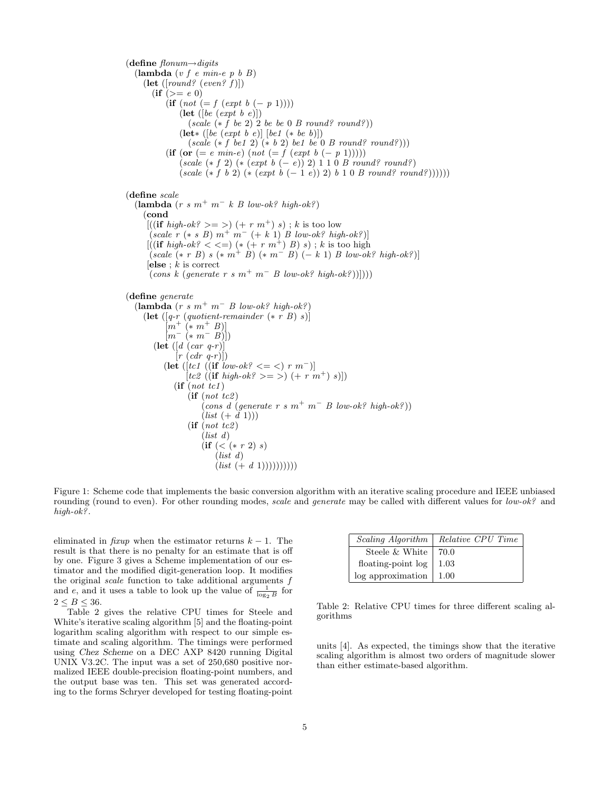(define  $f\!{lonum \rightarrow digits}$ (lambda (v f e min-e p b B)  $(\text{let } ([round? (even? f)])$  $(ii (= e 0)$ (if  $(not (= f (expt b (- p 1))))$ )  $(\text{let } ([be (expt b e)])$  $(scale (* f be 2) 2 be be 0 B round? round?$ (let∗ ([be  $(expt \ b \ e)]$  [be1  $(* \ be \ b)]$ )  $(scale (* f bet 2) (* b 2) be1 be 0 B round? round?$ )) (if (or (= e min-e) (not (= f (expt b (- p 1)))))  $(scale (* f 2) (* (expt b (- e)) 2) 1 1 0 B round? round?)$  $(scale (* f b 2) (* (expt b (-1 e)) 2) b 1 0 B round? round?$ (define scale (lambda  $(r s m^+ m^- k B low-ok$ ? high-ok?) (cond  $[((\mathbf{if } high\text{-}ok? >=>) (+ r m^+) s) ; k \text{ is too low})$  $(scale \; r (* s \; B) \; m^+ \; m^- (+ k \; 1) \; B \; low-ok? \; high-ok?)$  $[($ (if  $high\text{-}ok\text{?} <=)$  (\* (+ r m<sup>+</sup>) B) s); k is too high  $((\text{scale } (* \, r \, B) \, s \, (* \, m^+ \, \dot{B}) \, (* \, m^- \, B) \, (- \, k \, 1) \, B \, low \, ok^2 \, high \, ok^2)$  $[e]$ **lse**;  $k$  is correct  $(cons k (generate r s m<sup>+</sup> m<sup>-</sup> B low-ok? high-ok?$ (define generate (lambda ( $r s m^+ m^- B$  low-ok? high-ok?) (let  $([q-r (quotient-remainder (* r B) s))]$  $[m^+ (m^+ B)]$  $[m^-\ ( * m^-\ B)]$  $(\text{let } ([d \space (car \space q-r))]$  $\lceil r \left( \text{cdr } q-r \right) \rceil$ (let  $([tc1 (if low-ok? \leq \leq \leq) r m^{-})]$  $[tc2 ((if high-ok? >= >) (+ r m^+) s)])$  $(if (not tc1)$  $(i\mathbf{f}$  (not tc2)  $\left(\cos d \left( \text{generate } r \text{ s } m^+ \text{ m}^- \text{ B } \text{ low-ok? high-ok?}\right)\right)$  $(list (+ d 1)))$  $(if (not tc2)$  $(list d)$  $(fif (**** 2) s)$ (list d)  $(list (+ d 1)))))))))$ 

Figure 1: Scheme code that implements the basic conversion algorithm with an iterative scaling procedure and IEEE unbiased rounding (round to even). For other rounding modes, scale and generate may be called with different values for low-ok? and high-ok?.

eliminated in fixup when the estimator returns  $k-1$ . The result is that there is no penalty for an estimate that is off by one. Figure 3 gives a Scheme implementation of our estimator and the modified digit-generation loop. It modifies the original *scale* function to take additional arguments  $f$ and e, and it uses a table to look up the value of  $\frac{1}{\log_2 B}$  for  $2 < B < 36$ .

Table 2 gives the relative CPU times for Steele and White's iterative scaling algorithm [5] and the floating-point logarithm scaling algorithm with respect to our simple estimate and scaling algorithm. The timings were performed using Chez Scheme on a DEC AXP 8420 running Digital UNIX V3.2C. The input was a set of 250,680 positive normalized IEEE double-precision floating-point numbers, and the output base was ten. This set was generated according to the forms Schryer developed for testing floating-point

| <i>Scaling Algorithm</i> | Relative CPU Time |
|--------------------------|-------------------|
| Steele & White           | 70.0              |
| floating-point log       | 1.03              |
| log approximation        | 1.00              |

Table 2: Relative CPU times for three different scaling algorithms

units [4]. As expected, the timings show that the iterative scaling algorithm is almost two orders of magnitude slower than either estimate-based algorithm.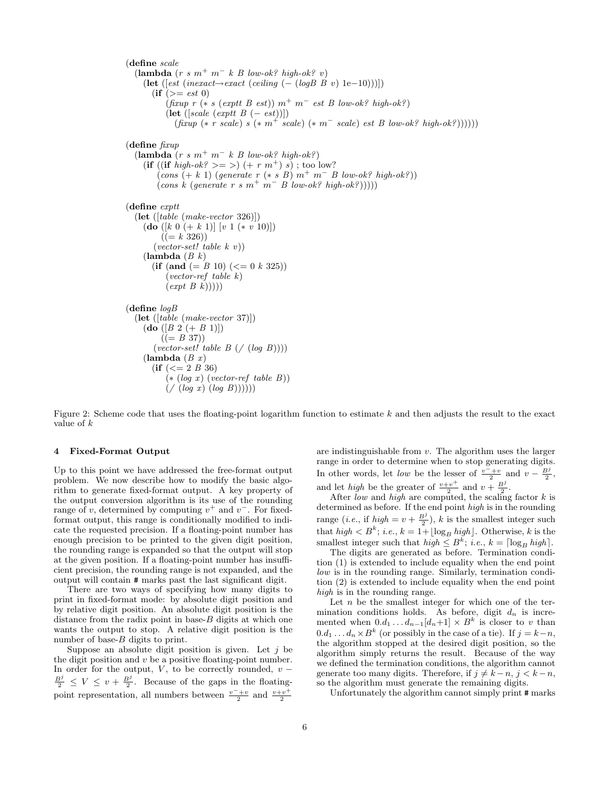(define scale (lambda  $(r s m^+ m^- k B low-ok? high-ok? v)$ (let ([est (inexact→exact (ceiling  $(- (\log B \ B \ v) \ 1e-10))$ ])]  $(if (> = est 0)$ (fixup r (\* s (exptt B est))  $m^+$   $m^-$  est B low-ok? high-ok?)  $(\text{let } (|scale (exptt B (-est))])$ (fixup  $(* \, r \, scale) \, s \, (* \, m^+ \, scale) \, (* \, m^- \, scale) \, est \, B \, low \, ok^2 \, high \, ok^2)))))$ )  $(d$ efine  $fixup$ (lambda  $(r s m^+ m^- k B low-ok? high-ok?$ ) (if ((if  $high\text{-}ok? \geq \geq$ )  $(+ r \, m^+) \, s)$ ; too low?  $(cons + k 1)$  (generate  $r (* s B)$   $m^+$   $m^-$  B low-ok? high-ok?))  $(\text{cons } k \text{ (generate } r \text{ s } m^+ \text{ m}^- \text{ B } \text{ low-ok? high-ok?}))))$ (define exptt  $(\text{let } (\text{table } (make-vector 326)))$  $(\mathbf{do} ([k \ 0 \ (+ \ k \ 1)] \ [v \ 1 \ (* \ v \ 10)])$  $((= k 326))$  $(vector-set! table k v))$  $(\textbf{lambda} (B k))$ (if (and  $(= B 10)$   $(< = 0 k 325)$ )  $(vector-ref$  table k)  $(expt \ B \ k))))$ (define logB (let ([table (make-vector 37)])  $(d\mathbf{o} ([B 2 (+ B 1)])$  $((= B 37))$  $(vector-setI table B ( / (log B))))$  $(\textbf{lambda} (B x))$  $(if (< = 2 B 36)$  $(* (log x) (vector-ref table B))$  $\left(\big/ \left(\log x\right) \left(\log B\right)\right)\right)\right)$ 

Figure 2: Scheme code that uses the floating-point logarithm function to estimate  $k$  and then adjusts the result to the exact value of k

## 4 Fixed-Format Output

Up to this point we have addressed the free-format output problem. We now describe how to modify the basic algorithm to generate fixed-format output. A key property of the output conversion algorithm is its use of the rounding range of v, determined by computing  $v^+$  and  $v^-$ . For fixedformat output, this range is conditionally modified to indicate the requested precision. If a floating-point number has enough precision to be printed to the given digit position, the rounding range is expanded so that the output will stop at the given position. If a floating-point number has insufficient precision, the rounding range is not expanded, and the output will contain # marks past the last significant digit.

There are two ways of specifying how many digits to print in fixed-format mode: by absolute digit position and by relative digit position. An absolute digit position is the distance from the radix point in base- $B$  digits at which one wants the output to stop. A relative digit position is the number of base- $B$  digits to print.

Suppose an absolute digit position is given. Let  $j$  be the digit position and  $v$  be a positive floating-point number. In order for the output, V, to be correctly rounded,  $v \frac{B^j}{2} \leq V \leq v + \frac{B^j}{2}$ . Because of the gaps in the floatingpoint representation, all numbers between  $\frac{v^-+v}{2}$  and  $\frac{v+v^+}{2}$ 

are indistinguishable from  $v$ . The algorithm uses the larger range in order to determine when to stop generating digits. In other words, let *low* be the lesser of  $\frac{v^-+v}{2}$  and  $v-\frac{B^j}{2}$ , and let *high* be the greater of  $\frac{v+v^+}{2}$  and  $v+\frac{B^j}{2}$ .

After low and high are computed, the scaling factor  $k$  is determined as before. If the end point high is in the rounding range (*i.e.*, if  $high = v + \frac{B^j}{2}$ ), k is the smallest integer such that  $high < B<sup>k</sup>$ ; *i.e.*,  $k = 1 + \lfloor \log_B high \rfloor$ . Otherwise, k is the smallest integer such that  $high \leq B^k$ ; *i.e.*,  $k = \lceil \log_B high \rceil$ .

The digits are generated as before. Termination condition (1) is extended to include equality when the end point low is in the rounding range. Similarly, termination condition (2) is extended to include equality when the end point high is in the rounding range.

Let  $n$  be the smallest integer for which one of the termination conditions holds. As before, digit  $d_n$  is incremented when  $0.d_1 \ldots d_{n-1}[d_n+1] \times B^k$  is closer to v than  $0.d_1 \dots d_n \times B^k$  (or possibly in the case of a tie). If  $j = k-n$ , the algorithm stopped at the desired digit position, so the algorithm simply returns the result. Because of the way we defined the termination conditions, the algorithm cannot generate too many digits. Therefore, if  $j \neq k - n$ ,  $j < k - n$ , so the algorithm must generate the remaining digits.

Unfortunately the algorithm cannot simply print # marks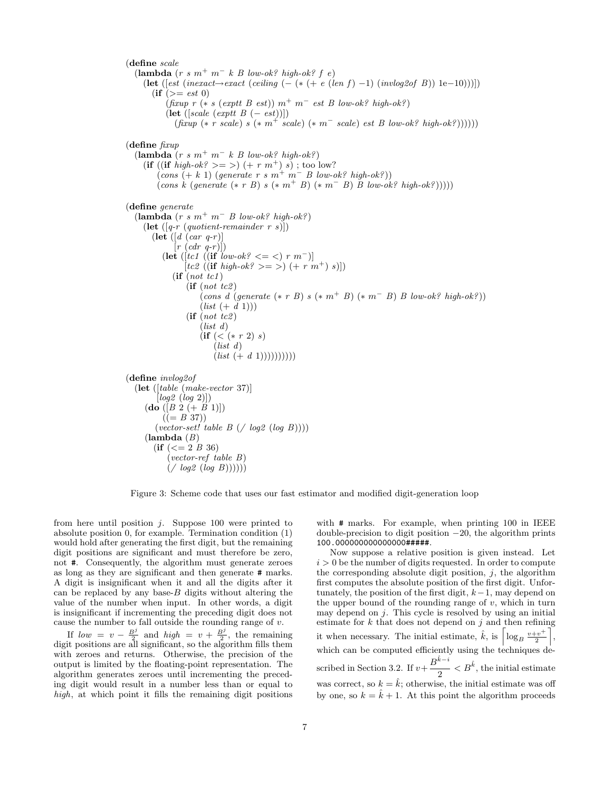(define scale (lambda  $(r s m^+ m^- k B low-ok? high-ok? f e)$ (let  $([est (inexact \rightarrow exact (ceiling (- ( * (+ e (len f) - 1) (invlog2 of B)) 1e-10)))])$  $(if (> = est 0)$ (fixup r (\* s (exptt B est))  $m^+$   $m^-$  est B low-ok? high-ok?) (let  $(|scale (exptt B (-est))|)$ (fixup  $(* \, r \, scale) \, s \, (* \, m^+ \, scale) \, (* \, m^- \, scale) \, est \, B \, low \, ok^2 \, high \, ok^2)))))$ )  $(d$ efine  $fixup$ (lambda  $(r s m^+ m^- k B low-ok? high-ok?$ ) (if ((if  $high\text{-}ok? \geq >$ ) (+ r m<sup>+</sup>) s); too low?  $(\textit{cons } (+ k 1) \textit{ (generate } r s m^+ m^- B \textit{ low-ok? high-ok?}))$  $(\text{cons } k \text{ (generate } (* \text{ } r \text{ } B) \text{ } s \text{ } (* \text{ } m^+ \text{ } B) \text{ } (* \text{ } m^- \text{ } B) \text{ } B \text{ } \text{low-ok? high-ok?}))))$ (define generate (lambda  $(r s m^+ m^- B low-ok? high-ok?)$ (let  $([q-r (quotient-remainder r s)])$ (let  $([d (car q-r)]$ )  $\lceil r \left( \text{cdr } q-r \right) \rceil$ (let  $([tc1 (if 'low-ok? \leq ~ <) r m^{-})]$ [tc2 ((if high-ok? >= >) (+ r m<sup>+</sup>) s)])  $(if (not tc1)$  $(if (not tc2)$  $(\text{cons } d \text{ (generate } (* \text{ } r \text{ } B) \text{ } s \text{ } (* \text{ } m^+ \text{ } B) \text{ } (* \text{ } m^- \text{ } B) \text{ } B \text{ } low-ok? \text{ } high-ok?)$  $(list (+ d 1))$  $(if (not tc2)$  $(list d)$  $(if(**|** * r 2) s)$  $(list d)$  $(list (+ d 1)))))))))$ (define invlog2of (let ([table (make-vector 37)]  $[log2 (log 2)])$  $(d\mathbf{o} ([B 2 (+ B 1)])$  $((= B 37))$  $(vector-set' table B (/ log2 (log B))))$  $(\textbf{lambda}(B))$  $(ii (< = 2 B 36)$ (vector-ref table B)  $\left(\big/ \log 2 \left(\log B\right)\right)\right))$ 

Figure 3: Scheme code that uses our fast estimator and modified digit-generation loop

from here until position  $j$ . Suppose 100 were printed to absolute position 0, for example. Termination condition (1) would hold after generating the first digit, but the remaining digit positions are significant and must therefore be zero, not #. Consequently, the algorithm must generate zeroes as long as they are significant and then generate # marks. A digit is insignificant when it and all the digits after it can be replaced by any base- $B$  digits without altering the value of the number when input. In other words, a digit is insignificant if incrementing the preceding digit does not cause the number to fall outside the rounding range of v.

If  $low = v - \frac{B^j}{2}$  and  $high = v + \frac{B^j}{2}$ , the remaining digit positions are all significant, so the algorithm fills them with zeroes and returns. Otherwise, the precision of the output is limited by the floating-point representation. The algorithm generates zeroes until incrementing the preceding digit would result in a number less than or equal to high, at which point it fills the remaining digit positions with  $\#$  marks. For example, when printing 100 in IEEE double-precision to digit position  $-20$ , the algorithm prints 100.000000000000000#####.

Now suppose a relative position is given instead. Let  $i > 0$  be the number of digits requested. In order to compute the corresponding absolute digit position,  $j$ , the algorithm first computes the absolute position of the first digit. Unfortunately, the position of the first digit,  $k-1$ , may depend on the upper bound of the rounding range of  $v$ , which in turn may depend on  $j$ . This cycle is resolved by using an initial estimate for  $k$  that does not depend on  $j$  and then refining estimate for k that does not depend on j and then refining<br>it when necessary. The initial estimate,  $\hat{k}$ , is  $\left[ \log_B \frac{v+v^+}{2} \right]$ , which can be computed efficiently using the techniques described in Section 3.2. If  $v + \frac{B^{\hat{k}-i}}{2}$  $\frac{1}{2} < B^{\hat{k}}$ , the initial estimate was correct, so  $k = \hat{k}$ ; otherwise, the initial estimate was off by one, so  $k = \hat{k} + 1$ . At this point the algorithm proceeds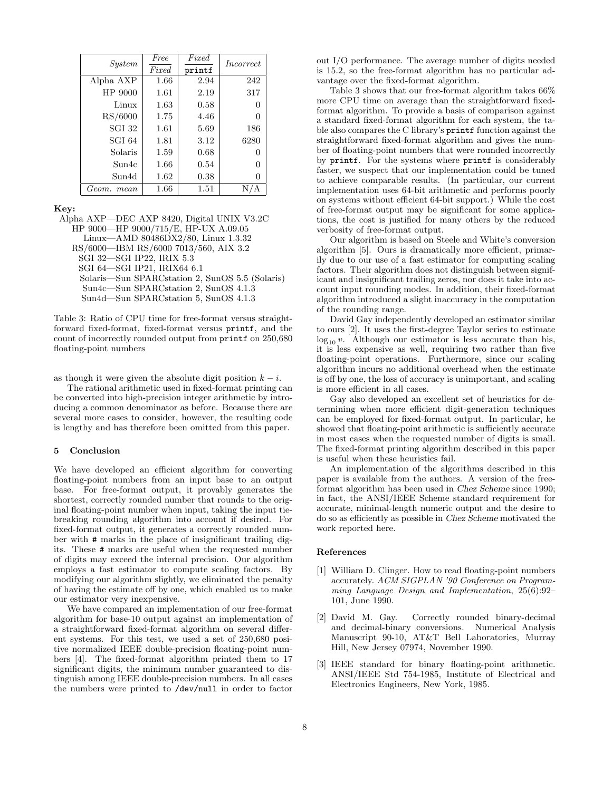| <i>System</i> | Free  | $\overline{Fixed}$ | Incorrect |
|---------------|-------|--------------------|-----------|
|               | Fixed | printf             |           |
| Alpha AXP     | 1.66  | 2.94               | 242       |
| HP 9000       | 1.61  | 2.19               | 317       |
| Linux         | 1.63  | 0.58               | 0         |
| RS/6000       | 1.75  | 4.46               | 0         |
| <b>SGI 32</b> | 1.61  | 5.69               | 186       |
| SGI 64        | 1.81  | 3.12               | 6280      |
| Solaris       | 1.59  | 0.68               | 0         |
| Sun4c         | 1.66  | 0.54               | 0         |
| Sun4d         | 1.62  | 0.38               | 0         |
| Geom.<br>mean | 1.66  | 1.51               | N<br>Α    |

Key:

Alpha AXP—DEC AXP 8420, Digital UNIX V3.2C HP 9000—HP 9000/715/E, HP-UX A.09.05 Linux—AMD 80486DX2/80, Linux 1.3.32 RS/6000—IBM RS/6000 7013/560, AIX 3.2 SGI 32—SGI IP22, IRIX 5.3 SGI 64—SGI IP21, IRIX64 6.1 Solaris—Sun SPARCstation 2, SunOS 5.5 (Solaris) Sun4c—Sun SPARCstation 2, SunOS 4.1.3 Sun4d—Sun SPARCstation 5, SunOS 4.1.3

Table 3: Ratio of CPU time for free-format versus straightforward fixed-format, fixed-format versus printf, and the count of incorrectly rounded output from printf on 250,680 floating-point numbers

as though it were given the absolute digit position  $k - i$ .

The rational arithmetic used in fixed-format printing can be converted into high-precision integer arithmetic by introducing a common denominator as before. Because there are several more cases to consider, however, the resulting code is lengthy and has therefore been omitted from this paper.

## 5 Conclusion

We have developed an efficient algorithm for converting floating-point numbers from an input base to an output base. For free-format output, it provably generates the shortest, correctly rounded number that rounds to the original floating-point number when input, taking the input tiebreaking rounding algorithm into account if desired. For fixed-format output, it generates a correctly rounded number with # marks in the place of insignificant trailing digits. These # marks are useful when the requested number of digits may exceed the internal precision. Our algorithm employs a fast estimator to compute scaling factors. By modifying our algorithm slightly, we eliminated the penalty of having the estimate off by one, which enabled us to make our estimator very inexpensive.

We have compared an implementation of our free-format algorithm for base-10 output against an implementation of a straightforward fixed-format algorithm on several different systems. For this test, we used a set of 250,680 positive normalized IEEE double-precision floating-point numbers [4]. The fixed-format algorithm printed them to 17 significant digits, the minimum number guaranteed to distinguish among IEEE double-precision numbers. In all cases the numbers were printed to /dev/null in order to factor

out I/O performance. The average number of digits needed is 15.2, so the free-format algorithm has no particular advantage over the fixed-format algorithm.

Table 3 shows that our free-format algorithm takes 66% more CPU time on average than the straightforward fixedformat algorithm. To provide a basis of comparison against a standard fixed-format algorithm for each system, the table also compares the C library's printf function against the straightforward fixed-format algorithm and gives the number of floating-point numbers that were rounded incorrectly by printf. For the systems where printf is considerably faster, we suspect that our implementation could be tuned to achieve comparable results. (In particular, our current implementation uses 64-bit arithmetic and performs poorly on systems without efficient 64-bit support.) While the cost of free-format output may be significant for some applications, the cost is justified for many others by the reduced verbosity of free-format output.

Our algorithm is based on Steele and White's conversion algorithm [5]. Ours is dramatically more efficient, primarily due to our use of a fast estimator for computing scaling factors. Their algorithm does not distinguish between significant and insignificant trailing zeros, nor does it take into account input rounding modes. In addition, their fixed-format algorithm introduced a slight inaccuracy in the computation of the rounding range.

David Gay independently developed an estimator similar to ours [2]. It uses the first-degree Taylor series to estimate  $\log_{10} v$ . Although our estimator is less accurate than his, it is less expensive as well, requiring two rather than five floating-point operations. Furthermore, since our scaling algorithm incurs no additional overhead when the estimate is off by one, the loss of accuracy is unimportant, and scaling is more efficient in all cases.

Gay also developed an excellent set of heuristics for determining when more efficient digit-generation techniques can be employed for fixed-format output. In particular, he showed that floating-point arithmetic is sufficiently accurate in most cases when the requested number of digits is small. The fixed-format printing algorithm described in this paper is useful when these heuristics fail.

An implementation of the algorithms described in this paper is available from the authors. A version of the freeformat algorithm has been used in Chez Scheme since 1990; in fact, the ANSI/IEEE Scheme standard requirement for accurate, minimal-length numeric output and the desire to do so as efficiently as possible in Chez Scheme motivated the work reported here.

#### References

- [1] William D. Clinger. How to read floating-point numbers accurately. ACM SIGPLAN '90 Conference on Programming Language Design and Implementation, 25(6):92– 101, June 1990.
- [2] David M. Gay. Correctly rounded binary-decimal and decimal-binary conversions. Numerical Analysis Manuscript 90-10, AT&T Bell Laboratories, Murray Hill, New Jersey 07974, November 1990.
- [3] IEEE standard for binary floating-point arithmetic. ANSI/IEEE Std 754-1985, Institute of Electrical and Electronics Engineers, New York, 1985.